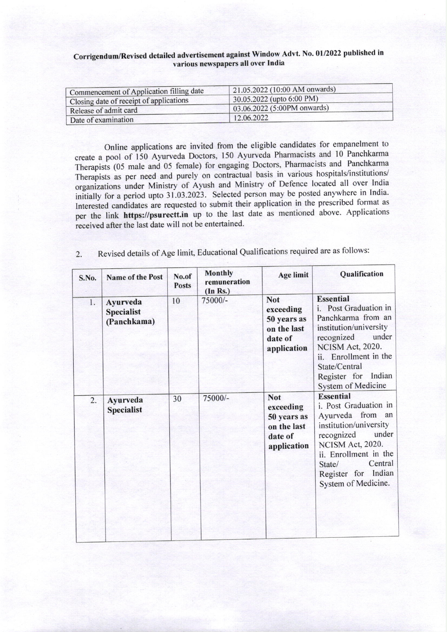## Corrigendum/Revised detailed advertisement against Window Advt. No. 01/2022 published in various newspapers all over India

| Commencement of Application filling date | 21.05.2022 (10:00 AM onwards) |
|------------------------------------------|-------------------------------|
| Closing date of receipt of applications  | 30.05.2022 (upto 6:00 PM)     |
| Release of admit card                    | 03.06.2022 (5:00PM onwards)   |
| Date of examination                      | 12.06.2022                    |

online applications are invited from the eligible candidates for empanelment to create a pool of 150 Ayurveda Doctors, 150 Ayurveda Pharmacists and 10 Panchkarma Therapists (05 male and 05 female) for engaging Doctors, Pharmacists and Panchkarma Therapists as per need and purely on contractual basis in various hospitals/institutions organizations under Ministry of Ayush and Ministry of Defence located all over India initially for a period upto 31.03.2023. Selected person may be posted anywhere in India. lnterested candidates are requested to submit their application in the prescribed formal as per the link https://psurectt.in up to the last date as mentioned above. Applications received after the last date will not be entertained.

2. Revised details of Age limit, Educational Qualifications required are as follows:

| S.No. | <b>Name of the Post</b>                      | No.of<br><b>Posts</b> | <b>Monthly</b><br>remuneration<br>(In Rs.) | <b>Age limit</b>                                                                | Qualification                                                                                                                                                                                                                         |
|-------|----------------------------------------------|-----------------------|--------------------------------------------|---------------------------------------------------------------------------------|---------------------------------------------------------------------------------------------------------------------------------------------------------------------------------------------------------------------------------------|
| 1.    | Ayurveda<br><b>Specialist</b><br>(Panchkama) | 10                    | 75000/-                                    | <b>Not</b><br>exceeding<br>50 years as<br>on the last<br>date of<br>application | <b>Essential</b><br>i. Post Graduation in<br>Panchkarma from an<br>institution/university<br>under<br>recognized<br><b>NCISM Act, 2020.</b><br>ii. Enrollment in the<br>State/Central<br>Indian<br>Register for<br>System of Medicine |
| 2.    | Ayurveda<br><b>Specialist</b>                | 30                    | 75000/-                                    | <b>Not</b><br>exceeding<br>50 years as<br>on the last<br>date of<br>application | <b>Essential</b><br>i. Post Graduation in<br>Ayurveda from an<br>institution/university<br>under<br>recognized<br><b>NCISM Act, 2020.</b><br>ii. Enrollment in the<br>Central<br>State/<br>Register for Indian<br>System of Medicine. |